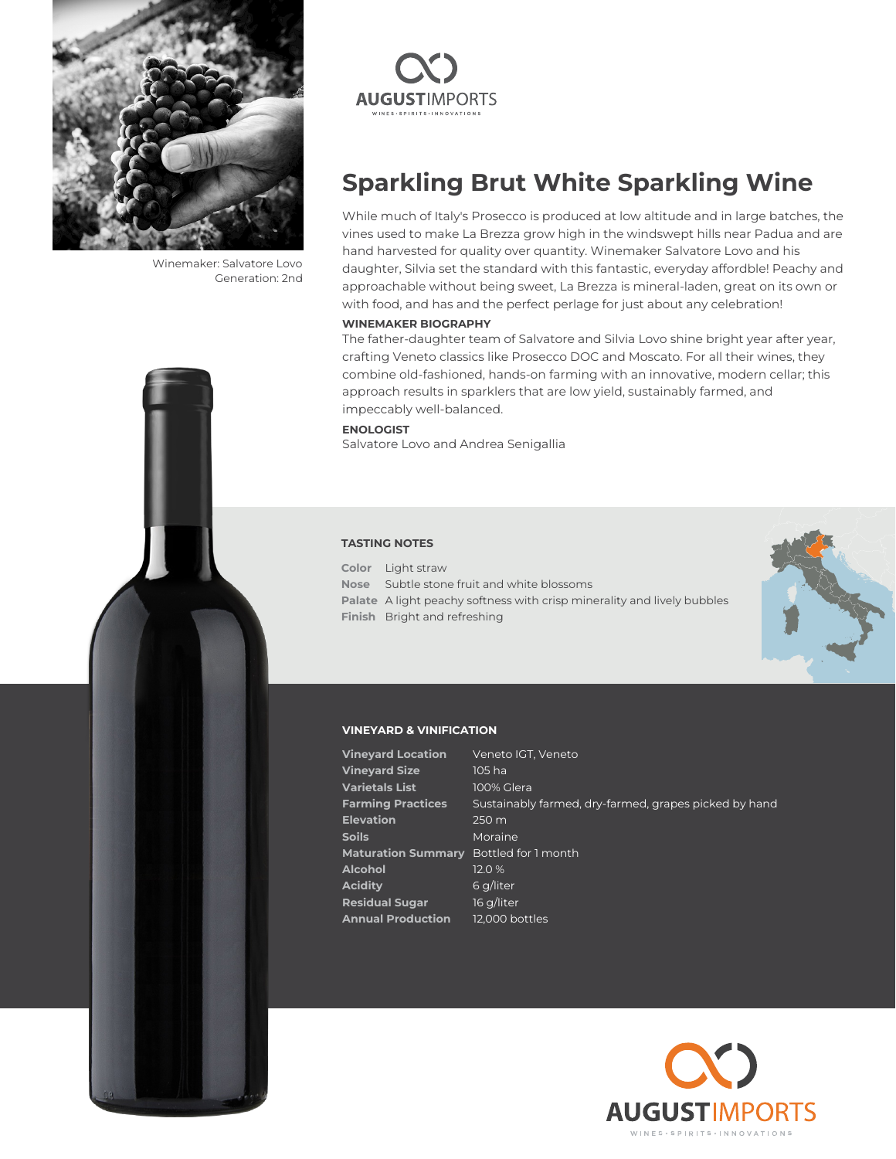

Winemaker: Salvatore Lovo Generation: 2nd



## **Sparkling Brut White Sparkling Wine**

While much of Italy's Prosecco is produced at low altitude and in large batches, the vines used to make La Brezza grow high in the windswept hills near Padua and are hand harvested for quality over quantity. Winemaker Salvatore Lovo and his daughter, Silvia set the standard with this fantastic, everyday affordble! Peachy and approachable without being sweet, La Brezza is mineral-laden, great on its own or with food, and has and the perfect perlage for just about any celebration!

#### **WINEMAKER BIOGRAPHY**

The father-daughter team of Salvatore and Silvia Lovo shine bright year after year, crafting Veneto classics like Prosecco DOC and Moscato. For all their wines, they combine old-fashioned, hands-on farming with an innovative, modern cellar; this approach results in sparklers that are low yield, sustainably farmed, and impeccably well-balanced.

## **ENOLOGIST**

Salvatore Lovo and Andrea Senigallia

#### **TASTING NOTES**

**Color** Light straw **Nose** Subtle stone fruit and white blossoms **Palate** A light peachy softness with crisp minerality and lively bubbles **Finish** Bright and refreshing



## **VINEYARD & VINIFICATION**

| <b>Vineyard Location</b>  | Veneto IGT, Veneto                                    |
|---------------------------|-------------------------------------------------------|
| <b>Vineyard Size</b>      | 105 ha                                                |
| Varietals List            | 100% Glera                                            |
| <b>Farming Practices</b>  | Sustainably farmed, dry-farmed, grapes picked by hand |
| <b>Elevation</b>          | 250 m                                                 |
| Soils                     | Moraine                                               |
| <b>Maturation Summary</b> | Bottled for 1 month                                   |
| Alcohol                   | 12.0 %                                                |
| Aciditv                   | 6 g/liter                                             |
| <b>Residual Sugar</b>     | 16 g/liter                                            |
| <b>Annual Production</b>  | 12,000 bottles                                        |
|                           |                                                       |